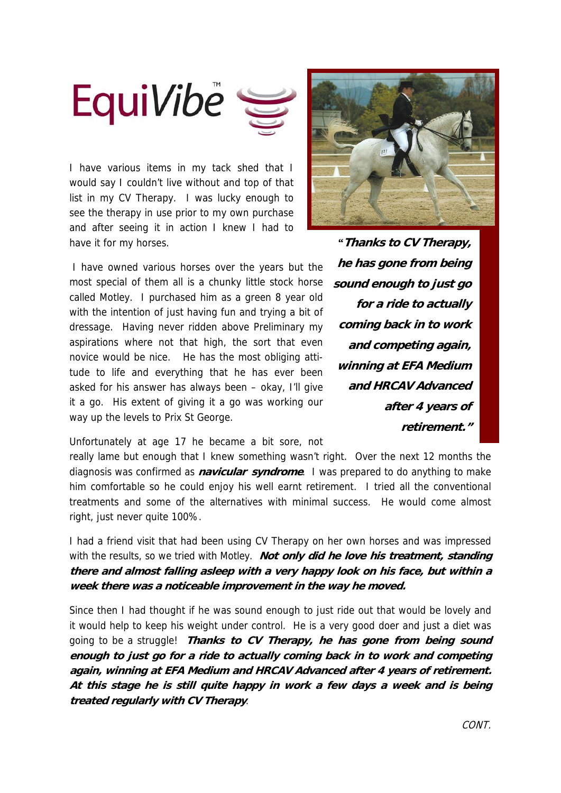

I have various items in my tack shed that I would say I couldn't live without and top of that list in my CV Therapy. I was lucky enough to see the therapy in use prior to my own purchase and after seeing it in action I knew I had to have it for my horses.

 I have owned various horses over the years but the most special of them all is a chunky little stock horse called Motley. I purchased him as a green 8 year old with the intention of just having fun and trying a bit of dressage. Having never ridden above Preliminary my aspirations where not that high, the sort that even novice would be nice. He has the most obliging attitude to life and everything that he has ever been asked for his answer has always been – okay, I'll give it a go. His extent of giving it a go was working our way up the levels to Prix St George.

*"***Thanks to CV Therapy, he has gone from being sound enough to just go for a ride to actually coming back in to work and competing again, winning at EFA Medium and HRCAV Advanced after 4 years of retirement."**

Unfortunately at age 17 he became a bit sore, not

really lame but enough that I knew something wasn't right. Over the next 12 months the diagnosis was confirmed as **navicular syndrome**. I was prepared to do anything to make him comfortable so he could enjoy his well earnt retirement. I tried all the conventional treatments and some of the alternatives with minimal success. He would come almost right, just never quite 100%.

I had a friend visit that had been using CV Therapy on her own horses and was impressed with the results, so we tried with Motley. **Not only did he love his treatment, standing there and almost falling asleep with a very happy look on his face, but within a week there was a noticeable improvement in the way he moved.** 

Since then I had thought if he was sound enough to just ride out that would be lovely and it would help to keep his weight under control. He is a very good doer and just a diet was going to be a struggle! **Thanks to CV Therapy, he has gone from being sound enough to just go for a ride to actually coming back in to work and competing again, winning at EFA Medium and HRCAV Advanced after 4 years of retirement. At this stage he is still quite happy in work a few days a week and is being treated regularly with CV Therapy**.